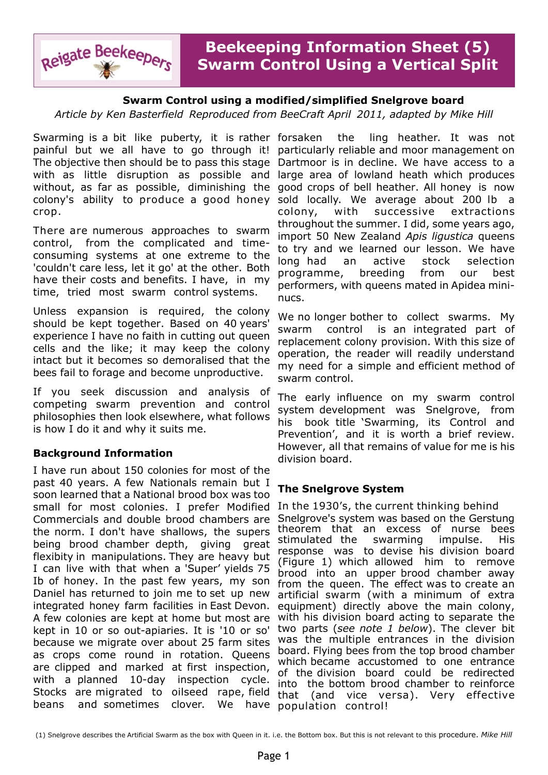

# **Swarm Control using a modified/simplified Snelgrove board**

*Article by Ken Basterfield Reproduced from BeeCraft April 2011, adapted by Mike Hill*

Swarming is a bit like puberty, it is rather forsaken painful but we all have to go through it! The objective then should be to pass this stage with as little disruption as possible and without, as far as possible, diminishing the good crops of bell heather. All honey is now colony's ability to produce a good honey sold locally. We average about 200 lb a crop.

There are numerous approaches to swarm control, from the complicated and timeconsuming systems at one extreme to the 'couldn't care less, let it go' at the other. Both have their costs and benefits. I have, in my time, tried most swarm control systems.

Unless expansion is required, the colony should be kept together. Based on 40 years' experience I have no faith in cutting out queen cells and the like; it may keep the colony intact but it becomes so demoralised that the bees fail to forage and become unproductive.

If you seek discussion and analysis of competing swarm prevention and control philosophies then look elsewhere, what follows is how I do it and why it suits me.

## **Background Information**

I have run about 150 colonies for most of the past 40 years. A few Nationals remain but I soon learned that a National brood box was too small for most colonies. I prefer Modified Commercials and double brood chambers are the norm. I don't have shallows, the supers being brood chamber depth, giving great flexibity in manipulations. They are heavy but I can live with that when a 'Super' yields 75 Ib of honey. In the past few years, my son Daniel has returned to join me to set up new integrated honey farm facilities in East Devon. A few colonies are kept at home but most are kept in 10 or so out-apiaries. It is '10 or so' because we migrate over about 25 farm sites as crops come round in rotation. Queens are clipped and marked at first inspection, with a planned 10-day inspection cycle. Stocks are migrated to oilseed rape, field beans and sometimes clover. We have

the ling heather. It was not particularly reliable and moor management on Dartmoor is in decline. We have access to a large area of lowland heath which produces colony, with successive extractions throughout the summer. I did, some years ago, import 50 New Zealand *Apis ligustica* queens to try and we learned our lesson. We have long had an active stock selection programme, breeding from our best performers, with queens mated in Apidea mininucs.

We no longer bother to collect swarms. My swarm control is an integrated part of replacement colony provision. With this size of operation, the reader will readily understand my need for a simple and efficient method of swarm control.

The early influence on my swarm control system development was Snelgrove, from his book title 'Swarming, its Control and Prevention', and it is worth a brief review. However, all that remains of value for me is his division board.

## **The Snelgrove System**

In the 1930's, the current thinking behind Snelgrove's system was based on the Gerstung theorem that an excess of nurse bees stimulated the swarming impulse. His response was to devise his division board (Figure 1) which allowed him to remove brood into an upper brood chamber away from the queen. The effect was to create an artificial swarm (with a minimum of extra equipment) directly above the main colony, with his division board acting to separate the two parts (*see note 1 below*). The clever bit was the multiple entrances in the division board. Flying bees from the top brood chamber which became accustomed to one entrance of the division board could be redirected into the bottom brood chamber to reinforce that (and vice versa). Very effective population control!

(1) Snelgrove describes the Artificial Swarm as the box with Queen in it. i.e. the Bottom box. But this is not relevant to this procedure. *Mike Hill*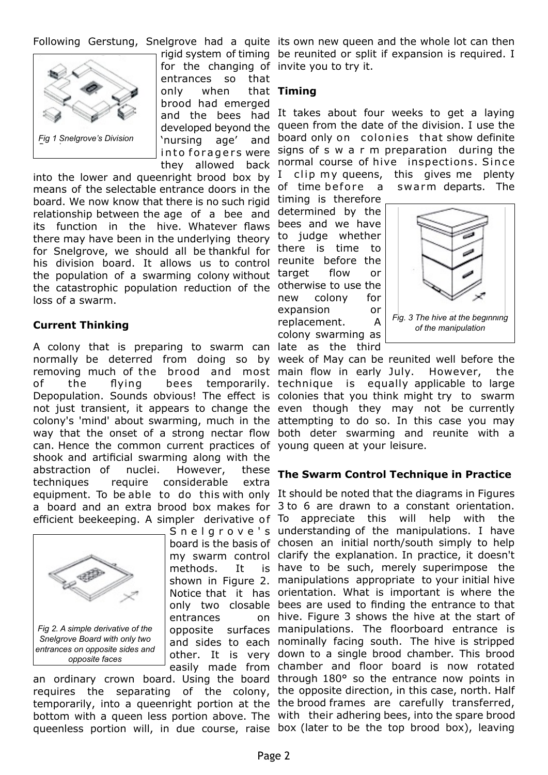

for the changing of invite you to try it. entrances so that only when brood had emerged and the bees had developed beyond the 'nursing age' and into for a gers were they allowed back

into the lower and queenright brood box by means of the selectable entrance doors in the board. We now know that there is no such rigid relationship between the age of a bee and its function in the hive. Whatever flaws there may have been in the underlying theory for Snelgrove, we should all be thankful for his division board. It allows us to control the population of a swarming colony without the catastrophic population reduction of the loss of a swarm.

## **Current Thinking**

A colony that is preparing to swarm can late as the third normally be deterred from doing so by week of May can be reunited well before the removing much of the brood and most main flow in early July. However, the of the flying bees temporarily. technique is equally applicable to large Depopulation. Sounds obvious! The effect is colonies that you think might try to swarm not just transient, it appears to change the even though they may not be currently colony's 'mind' about swarming, much in the attempting to do so. In this case you may way that the onset of a strong nectar flow both deter swarming and reunite with a can. Hence the common current practices of young queen at your leisure. shook and artificial swarming along with the abstraction of nuclei. However, these techniques require considerable extra equipment. To be able to do this with only It should be noted that the diagrams in Figures a board and an extra brood box makes for 3 to 6 are drawn to a constant orientation. efficient beekeeping. A simpler derivative of To appreciate this will help with the



methods. It entrances

requires the separating of the colony, the opposite direction, in this case, north. Half temporarily, into a queenright portion at the the brood frames are carefully transferred, bottom with a queen less portion above. The with their adhering bees, into the spare brood queenless portion will, in due course, raise box (later to be the top brood box), leaving

Following Gerstung, Snelgrove had a quite its own new queen and the whole lot can then rigid system of timing be reunited or split if expansion is required. I

## **Timing**

It takes about four weeks to get a laying queen from the date of the division. I use the board only on colonies that show definite signs of s w a r m preparation during the normal course of hive inspections. Since I clip my queens, this gives me plenty of time before a swarm departs. The

timing is therefore determined by the bees and we have to judge whether there is time to reunite before the target flow or otherwise to use the new colony for expansion or replacement. A colony swarming as



## **The Swarm Control Technique in Practice**

S n e l g r o v e 's understanding of the manipulations. I have board is the basis of chosen an initial north/south simply to help my swarm control clarify the explanation. In practice, it doesn't shown in Figure 2. manipulations appropriate to your initial hive Notice that it has orientation. What is important is where the only two closable bees are used to finding the entrance to that opposite surfaces manipulations. The floorboard entrance is and sides to each nominally facing south. The hive is stripped other. It is very down to a single brood chamber. This brood easily made from chamber and floor board is now rotated an ordinary crown board. Using the board through 180° so the entrance now points in is have to be such, merely superimpose the on hive. Figure 3 shows the hive at the start of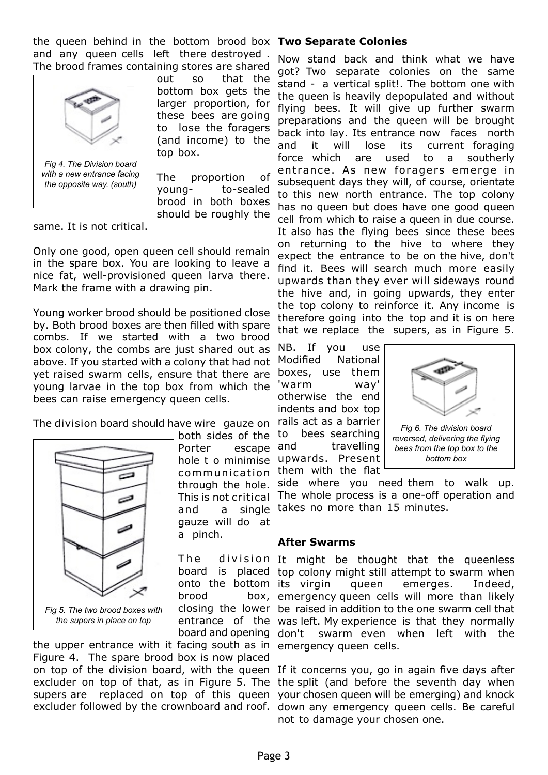the queen behind in the bottom brood box **Two Separate Colonies** and any queen cells left there destroyed . The brood frames containing stores are shared



out so that the bottom box gets the larger proportion, for these bees are going to lose the foragers (and income) to the top box.

The proportion of young- to-sealed brood in both boxes should be roughly the

same. It is not critical.

Only one good, open queen cell should remain in the spare box. You are looking to leave a nice fat, well-provisioned queen larva there. Mark the frame with a drawing pin.

Young worker brood should be positioned close by. Both brood boxes are then filled with spare combs. If we started with a two brood box colony, the combs are just shared out as above. If you started with a colony that had not yet raised swarm cells, ensure that there are young larvae in the top box from which the bees can raise emergency queen cells.

The division board should have wire gauze on



both sides of the Porter escape hole t o minimise communication through the hole. This is not critical and a single gauze will do at a pinch.

brood

the upper entrance with it facing south as in emergency queen cells. Figure 4. The spare brood box is now placed on top of the division board, with the queen If it concerns you, go in again five days after excluder on top of that, as in Figure 5. The the split (and before the seventh day when supers are replaced on top of this queen your chosen queen will be emerging) and knock excluder followed by the crownboard and roof. down any emergency queen cells. Be careful

Now stand back and think what we have got? Two separate colonies on the same stand - a vertical split!. The bottom one with the queen is heavily depopulated and without flying bees. It will give up further swarm preparations and the queen will be brought back into lay. Its entrance now faces north and it will lose its current foraging force which are used to a southerly entrance. As new foragers emerge in subsequent days they will, of course, orientate to this new north entrance. The top colony has no queen but does have one good queen cell from which to raise a queen in due course. It also has the flying bees since these bees on returning to the hive to where they expect the entrance to be on the hive, don't find it. Bees will search much more easily upwards than they ever will sideways round the hive and, in going upwards, they enter the top colony to reinforce it. Any income is therefore going into the top and it is on here that we replace the supers, as in Figure 5.

NB. If you use Modified National boxes, use them 'warm way' otherwise the end indents and box top rails act as a barrier to bees searching and travelling upwards. Present



them with the flat side where you need them to walk up. The whole process is a one-off operation and takes no more than 15 minutes.

### **After Swarms**

The division It might be thought that the queenless board is placed top colony might still attempt to swarm when onto the bottom its virgin queen emerges. Indeed, closing the lower be raised in addition to the one swarm cell that entrance of the was left. My experience is that they normally board and opening don't swarm even when left with the box, emergency queen cells will more than likely

not to damage your chosen one.